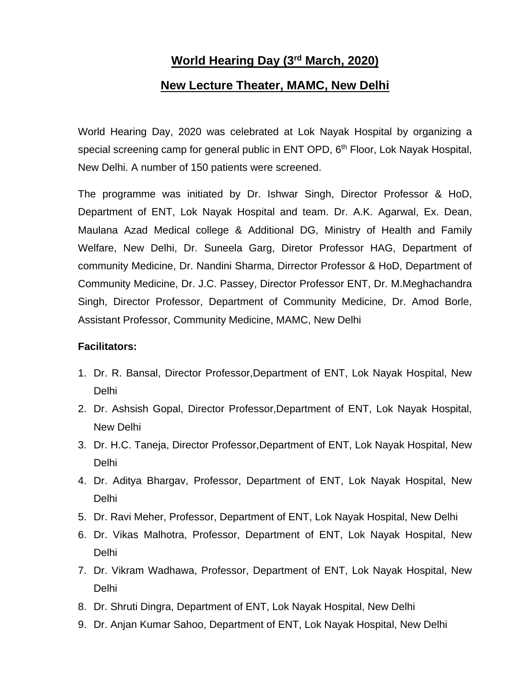# **World Hearing Day (3rd March, 2020)**

#### **New Lecture Theater, MAMC, New Delhi**

World Hearing Day, 2020 was celebrated at Lok Nayak Hospital by organizing a special screening camp for general public in ENT OPD, 6<sup>th</sup> Floor, Lok Nayak Hospital, New Delhi. A number of 150 patients were screened.

The programme was initiated by Dr. Ishwar Singh, Director Professor & HoD, Department of ENT, Lok Nayak Hospital and team. Dr. A.K. Agarwal, Ex. Dean, Maulana Azad Medical college & Additional DG, Ministry of Health and Family Welfare, New Delhi, Dr. Suneela Garg, Diretor Professor HAG, Department of community Medicine, Dr. Nandini Sharma, Dirrector Professor & HoD, Department of Community Medicine, Dr. J.C. Passey, Director Professor ENT, Dr. M.Meghachandra Singh, Director Professor, Department of Community Medicine, Dr. Amod Borle, Assistant Professor, Community Medicine, MAMC, New Delhi

#### **Facilitators:**

- 1. Dr. R. Bansal, Director Professor,Department of ENT, Lok Nayak Hospital, New Delhi
- 2. Dr. Ashsish Gopal, Director Professor,Department of ENT, Lok Nayak Hospital, New Delhi
- 3. Dr. H.C. Taneja, Director Professor,Department of ENT, Lok Nayak Hospital, New Delhi
- 4. Dr. Aditya Bhargav, Professor, Department of ENT, Lok Nayak Hospital, New Delhi
- 5. Dr. Ravi Meher, Professor, Department of ENT, Lok Nayak Hospital, New Delhi
- 6. Dr. Vikas Malhotra, Professor, Department of ENT, Lok Nayak Hospital, New Delhi
- 7. Dr. Vikram Wadhawa, Professor, Department of ENT, Lok Nayak Hospital, New Delhi
- 8. Dr. Shruti Dingra, Department of ENT, Lok Nayak Hospital, New Delhi
- 9. Dr. Anjan Kumar Sahoo, Department of ENT, Lok Nayak Hospital, New Delhi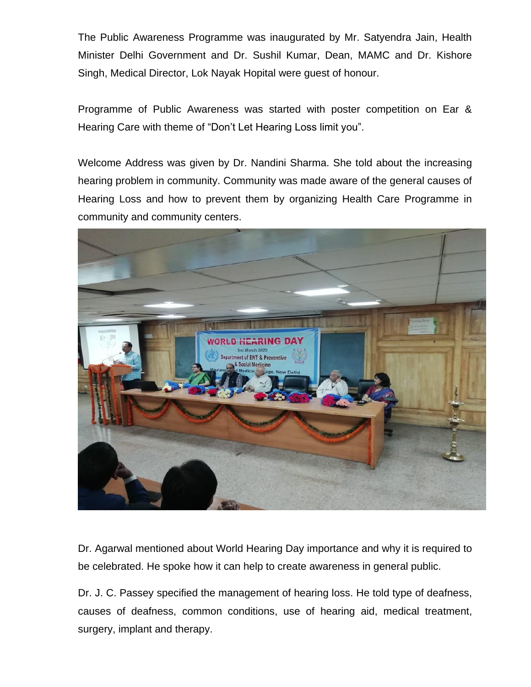The Public Awareness Programme was inaugurated by Mr. Satyendra Jain, Health Minister Delhi Government and Dr. Sushil Kumar, Dean, MAMC and Dr. Kishore Singh, Medical Director, Lok Nayak Hopital were guest of honour.

Programme of Public Awareness was started with poster competition on Ear & Hearing Care with theme of "Don't Let Hearing Loss limit you".

Welcome Address was given by Dr. Nandini Sharma. She told about the increasing hearing problem in community. Community was made aware of the general causes of Hearing Loss and how to prevent them by organizing Health Care Programme in community and community centers.



Dr. Agarwal mentioned about World Hearing Day importance and why it is required to be celebrated. He spoke how it can help to create awareness in general public.

Dr. J. C. Passey specified the management of hearing loss. He told type of deafness, causes of deafness, common conditions, use of hearing aid, medical treatment, surgery, implant and therapy.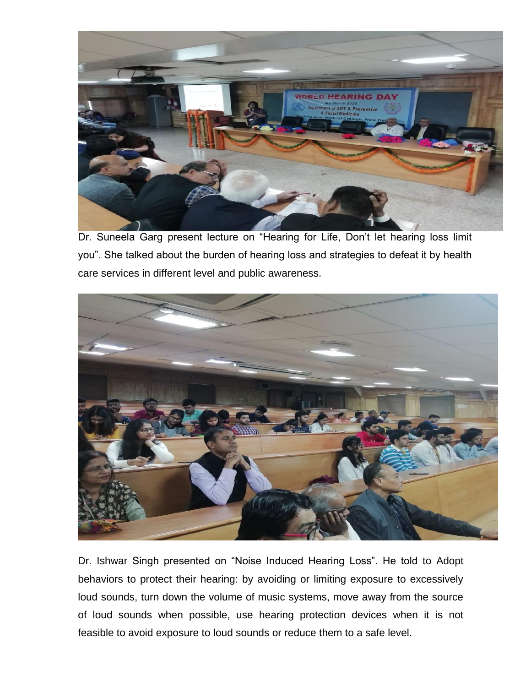

Dr. Suneela Garg present lecture on "Hearing for Life, Don't let hearing loss limit you". She talked about the burden of hearing loss and strategies to defeat it by health care services in different level and public awareness.



Dr. Ishwar Singh presented on "Noise Induced Hearing Loss". He told to Adopt behaviors to protect their hearing: by avoiding or limiting exposure to excessively loud sounds, turn down the volume of music systems, move away from the source of loud sounds when possible, use hearing protection devices when it is not feasible to avoid exposure to loud sounds or reduce them to a safe level.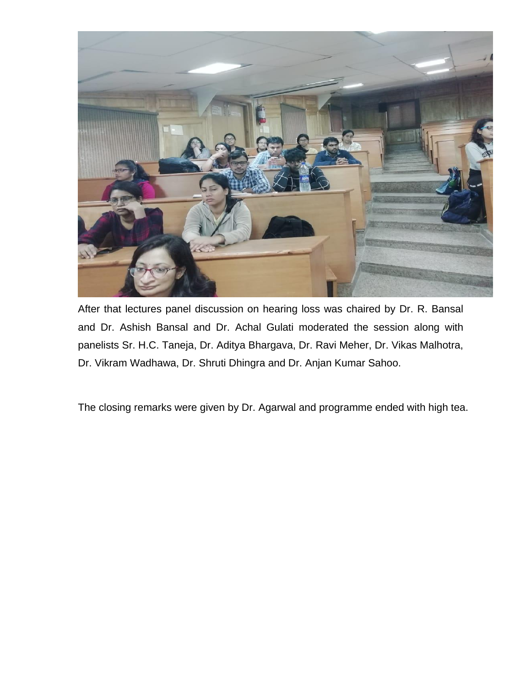

After that lectures panel discussion on hearing loss was chaired by Dr. R. Bansal and Dr. Ashish Bansal and Dr. Achal Gulati moderated the session along with panelists Sr. H.C. Taneja, Dr. Aditya Bhargava, Dr. Ravi Meher, Dr. Vikas Malhotra, Dr. Vikram Wadhawa, Dr. Shruti Dhingra and Dr. Anjan Kumar Sahoo.

The closing remarks were given by Dr. Agarwal and programme ended with high tea.